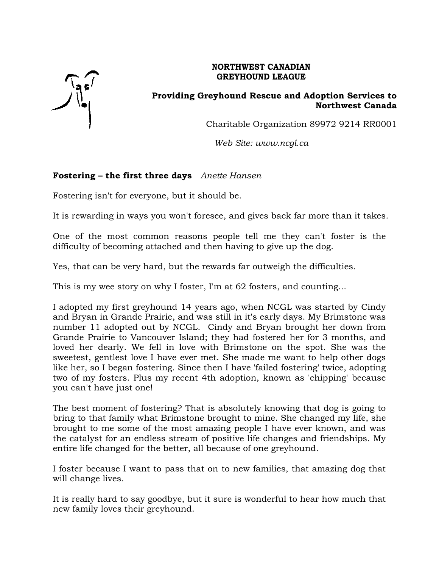

## **NORTHWEST CANADIAN GREYHOUND LEAGUE**

## **Providing Greyhound Rescue and Adoption Services to Northwest Canada**

Charitable Organization 89972 9214 RR0001

*Web Site: www.ncgl.ca*

# **Fostering – the first three days** *Anette Hansen*

Fostering isn't for everyone, but it should be.

It is rewarding in ways you won't foresee, and gives back far more than it takes.

One of the most common reasons people tell me they can't foster is the difficulty of becoming attached and then having to give up the dog.

Yes, that can be very hard, but the rewards far outweigh the difficulties.

This is my wee story on why I foster, I'm at 62 fosters, and counting...

I adopted my first greyhound 14 years ago, when NCGL was started by Cindy and Bryan in Grande Prairie, and was still in it's early days. My Brimstone was number 11 adopted out by NCGL. Cindy and Bryan brought her down from Grande Prairie to Vancouver Island; they had fostered her for 3 months, and loved her dearly. We fell in love with Brimstone on the spot. She was the sweetest, gentlest love I have ever met. She made me want to help other dogs like her, so I began fostering. Since then I have 'failed fostering' twice, adopting two of my fosters. Plus my recent 4th adoption, known as 'chipping' because you can't have just one!

The best moment of fostering? That is absolutely knowing that dog is going to bring to that family what Brimstone brought to mine. She changed my life, she brought to me some of the most amazing people I have ever known, and was the catalyst for an endless stream of positive life changes and friendships. My entire life changed for the better, all because of one greyhound.

I foster because I want to pass that on to new families, that amazing dog that will change lives.

It is really hard to say goodbye, but it sure is wonderful to hear how much that new family loves their greyhound.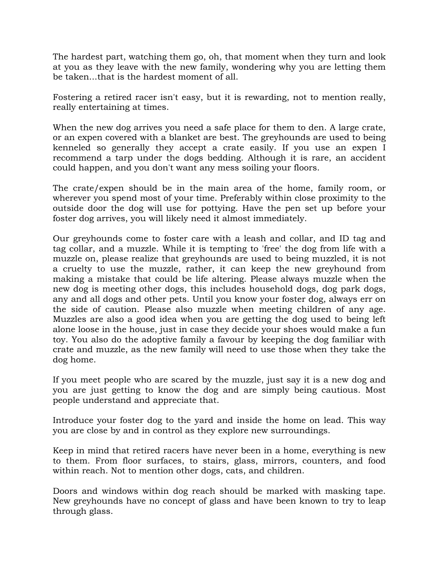The hardest part, watching them go, oh, that moment when they turn and look at you as they leave with the new family, wondering why you are letting them be taken...that is the hardest moment of all.

Fostering a retired racer isn't easy, but it is rewarding, not to mention really, really entertaining at times.

When the new dog arrives you need a safe place for them to den. A large crate, or an expen covered with a blanket are best. The greyhounds are used to being kenneled so generally they accept a crate easily. If you use an expen I recommend a tarp under the dogs bedding. Although it is rare, an accident could happen, and you don't want any mess soiling your floors.

The crate/expen should be in the main area of the home, family room, or wherever you spend most of your time. Preferably within close proximity to the outside door the dog will use for pottying. Have the pen set up before your foster dog arrives, you will likely need it almost immediately.

Our greyhounds come to foster care with a leash and collar, and ID tag and tag collar, and a muzzle. While it is tempting to 'free' the dog from life with a muzzle on, please realize that greyhounds are used to being muzzled, it is not a cruelty to use the muzzle, rather, it can keep the new greyhound from making a mistake that could be life altering. Please always muzzle when the new dog is meeting other dogs, this includes household dogs, dog park dogs, any and all dogs and other pets. Until you know your foster dog, always err on the side of caution. Please also muzzle when meeting children of any age. Muzzles are also a good idea when you are getting the dog used to being left alone loose in the house, just in case they decide your shoes would make a fun toy. You also do the adoptive family a favour by keeping the dog familiar with crate and muzzle, as the new family will need to use those when they take the dog home.

If you meet people who are scared by the muzzle, just say it is a new dog and you are just getting to know the dog and are simply being cautious. Most people understand and appreciate that.

Introduce your foster dog to the yard and inside the home on lead. This way you are close by and in control as they explore new surroundings.

Keep in mind that retired racers have never been in a home, everything is new to them. From floor surfaces, to stairs, glass, mirrors, counters, and food within reach. Not to mention other dogs, cats, and children.

Doors and windows within dog reach should be marked with masking tape. New greyhounds have no concept of glass and have been known to try to leap through glass.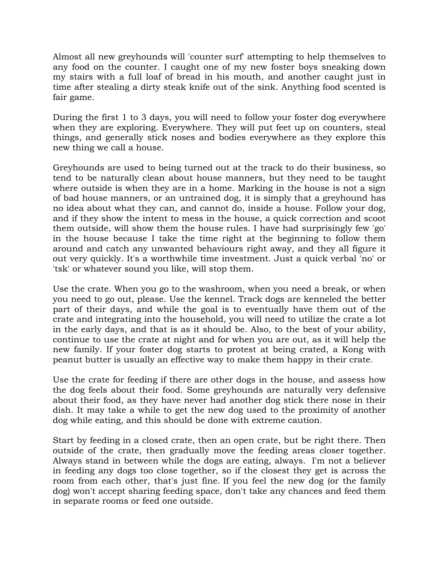Almost all new greyhounds will 'counter surf' attempting to help themselves to any food on the counter. I caught one of my new foster boys sneaking down my stairs with a full loaf of bread in his mouth, and another caught just in time after stealing a dirty steak knife out of the sink. Anything food scented is fair game.

During the first 1 to 3 days, you will need to follow your foster dog everywhere when they are exploring. Everywhere. They will put feet up on counters, steal things, and generally stick noses and bodies everywhere as they explore this new thing we call a house.

Greyhounds are used to being turned out at the track to do their business, so tend to be naturally clean about house manners, but they need to be taught where outside is when they are in a home. Marking in the house is not a sign of bad house manners, or an untrained dog, it is simply that a greyhound has no idea about what they can, and cannot do, inside a house. Follow your dog, and if they show the intent to mess in the house, a quick correction and scoot them outside, will show them the house rules. I have had surprisingly few 'go' in the house because I take the time right at the beginning to follow them around and catch any unwanted behaviours right away, and they all figure it out very quickly. It's a worthwhile time investment. Just a quick verbal 'no' or 'tsk' or whatever sound you like, will stop them.

Use the crate. When you go to the washroom, when you need a break, or when you need to go out, please. Use the kennel. Track dogs are kenneled the better part of their days, and while the goal is to eventually have them out of the crate and integrating into the household, you will need to utilize the crate a lot in the early days, and that is as it should be. Also, to the best of your ability, continue to use the crate at night and for when you are out, as it will help the new family. If your foster dog starts to protest at being crated, a Kong with peanut butter is usually an effective way to make them happy in their crate.

Use the crate for feeding if there are other dogs in the house, and assess how the dog feels about their food. Some greyhounds are naturally very defensive about their food, as they have never had another dog stick there nose in their dish. It may take a while to get the new dog used to the proximity of another dog while eating, and this should be done with extreme caution.

Start by feeding in a closed crate, then an open crate, but be right there. Then outside of the crate, then gradually move the feeding areas closer together. Always stand in between while the dogs are eating, always. I'm not a believer in feeding any dogs too close together, so if the closest they get is across the room from each other, that's just fine. If you feel the new dog (or the family dog) won't accept sharing feeding space, don't take any chances and feed them in separate rooms or feed one outside.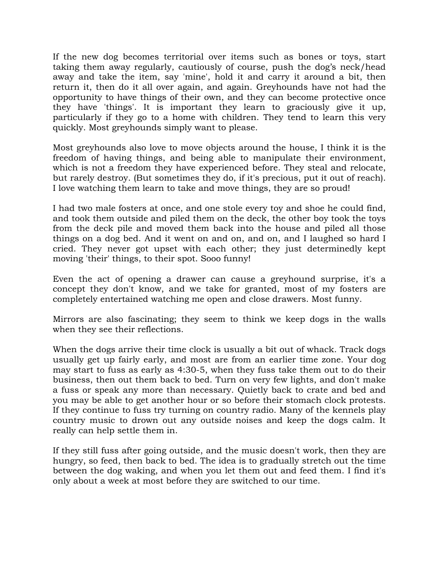If the new dog becomes territorial over items such as bones or toys, start taking them away regularly, cautiously of course, push the dog's neck/head away and take the item, say 'mine', hold it and carry it around a bit, then return it, then do it all over again, and again. Greyhounds have not had the opportunity to have things of their own, and they can become protective once they have 'things'. It is important they learn to graciously give it up, particularly if they go to a home with children. They tend to learn this very quickly. Most greyhounds simply want to please.

Most greyhounds also love to move objects around the house, I think it is the freedom of having things, and being able to manipulate their environment, which is not a freedom they have experienced before. They steal and relocate, but rarely destroy. (But sometimes they do, if it's precious, put it out of reach). I love watching them learn to take and move things, they are so proud!

I had two male fosters at once, and one stole every toy and shoe he could find, and took them outside and piled them on the deck, the other boy took the toys from the deck pile and moved them back into the house and piled all those things on a dog bed. And it went on and on, and on, and I laughed so hard I cried. They never got upset with each other; they just determinedly kept moving 'their' things, to their spot. Sooo funny!

Even the act of opening a drawer can cause a greyhound surprise, it's a concept they don't know, and we take for granted, most of my fosters are completely entertained watching me open and close drawers. Most funny.

Mirrors are also fascinating; they seem to think we keep dogs in the walls when they see their reflections.

When the dogs arrive their time clock is usually a bit out of whack. Track dogs usually get up fairly early, and most are from an earlier time zone. Your dog may start to fuss as early as 4:30-5, when they fuss take them out to do their business, then out them back to bed. Turn on very few lights, and don't make a fuss or speak any more than necessary. Quietly back to crate and bed and you may be able to get another hour or so before their stomach clock protests. If they continue to fuss try turning on country radio. Many of the kennels play country music to drown out any outside noises and keep the dogs calm. It really can help settle them in.

If they still fuss after going outside, and the music doesn't work, then they are hungry, so feed, then back to bed. The idea is to gradually stretch out the time between the dog waking, and when you let them out and feed them. I find it's only about a week at most before they are switched to our time.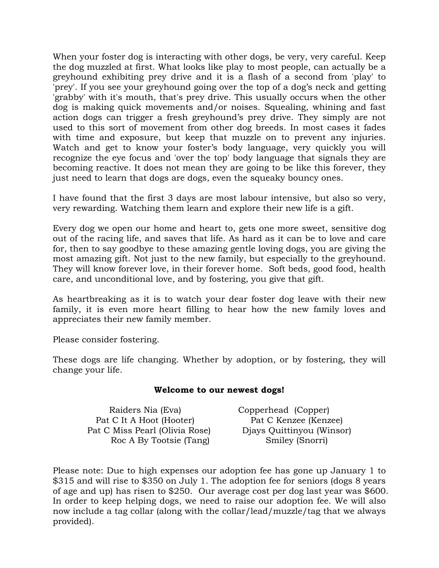When your foster dog is interacting with other dogs, be very, very careful. Keep the dog muzzled at first. What looks like play to most people, can actually be a greyhound exhibiting prey drive and it is a flash of a second from 'play' to 'prey'. If you see your greyhound going over the top of a dog's neck and getting 'grabby' with it's mouth, that's prey drive. This usually occurs when the other dog is making quick movements and/or noises. Squealing, whining and fast action dogs can trigger a fresh greyhound's prey drive. They simply are not used to this sort of movement from other dog breeds. In most cases it fades with time and exposure, but keep that muzzle on to prevent any injuries. Watch and get to know your foster's body language, very quickly you will recognize the eye focus and 'over the top' body language that signals they are becoming reactive. It does not mean they are going to be like this forever, they just need to learn that dogs are dogs, even the squeaky bouncy ones.

I have found that the first 3 days are most labour intensive, but also so very, very rewarding. Watching them learn and explore their new life is a gift.

Every dog we open our home and heart to, gets one more sweet, sensitive dog out of the racing life, and saves that life. As hard as it can be to love and care for, then to say goodbye to these amazing gentle loving dogs, you are giving the most amazing gift. Not just to the new family, but especially to the greyhound. They will know forever love, in their forever home. Soft beds, good food, health care, and unconditional love, and by fostering, you give that gift.

As heartbreaking as it is to watch your dear foster dog leave with their new family, it is even more heart filling to hear how the new family loves and appreciates their new family member.

Please consider fostering.

These dogs are life changing. Whether by adoption, or by fostering, they will change your life.

### **Welcome to our newest dogs!**

| Raiders Nia (Eva)              | Copperhead (Copper)       |
|--------------------------------|---------------------------|
| Pat C It A Hoot (Hooter)       | Pat C Kenzee (Kenzee)     |
| Pat C Miss Pearl (Olivia Rose) | Diays Quittinyou (Winsor) |
| Roc A By Tootsie (Tang)        | Smiley (Snorri)           |

Please note: Due to high expenses our adoption fee has gone up January 1 to \$315 and will rise to \$350 on July 1. The adoption fee for seniors (dogs 8 years of age and up) has risen to \$250. Our average cost per dog last year was \$600. In order to keep helping dogs, we need to raise our adoption fee. We will also now include a tag collar (along with the collar/lead/muzzle/tag that we always provided).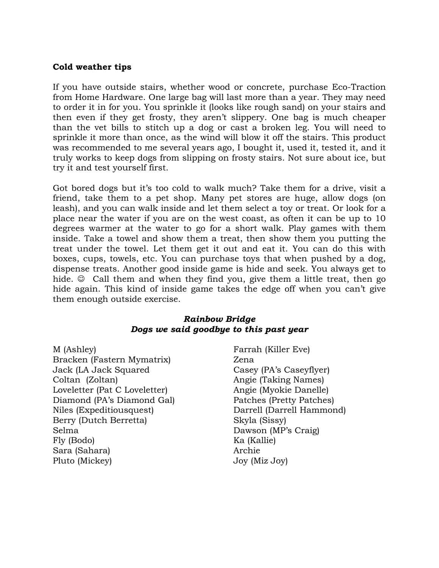#### **Cold weather tips**

If you have outside stairs, whether wood or concrete, purchase Eco-Traction from Home Hardware. One large bag will last more than a year. They may need to order it in for you. You sprinkle it (looks like rough sand) on your stairs and then even if they get frosty, they aren't slippery. One bag is much cheaper than the vet bills to stitch up a dog or cast a broken leg. You will need to sprinkle it more than once, as the wind will blow it off the stairs. This product was recommended to me several years ago, I bought it, used it, tested it, and it truly works to keep dogs from slipping on frosty stairs. Not sure about ice, but try it and test yourself first.

Got bored dogs but it's too cold to walk much? Take them for a drive, visit a friend, take them to a pet shop. Many pet stores are huge, allow dogs (on leash), and you can walk inside and let them select a toy or treat. Or look for a place near the water if you are on the west coast, as often it can be up to 10 degrees warmer at the water to go for a short walk. Play games with them inside. Take a towel and show them a treat, then show them you putting the treat under the towel. Let them get it out and eat it. You can do this with boxes, cups, towels, etc. You can purchase toys that when pushed by a dog, dispense treats. Another good inside game is hide and seek. You always get to hide.  $\odot$  Call them and when they find you, give them a little treat, then go hide again. This kind of inside game takes the edge off when you can't give them enough outside exercise.

#### *Rainbow Bridge Dogs we said goodbye to this past year*

M (Ashley) Farrah (Killer Eve) Bracken (Fastern Mymatrix) Zena Jack (LA Jack Squared Casey (PA's Caseyflyer) Coltan (Zoltan) Angie (Taking Names) Loveletter (Pat C Loveletter) Angie (Myokie Danelle) Diamond (PA's Diamond Gal) Patches (Pretty Patches) Niles (Expeditiousquest) Darrell (Darrell Hammond) Berry (Dutch Berretta) Skyla (Sissy) Selma Dawson (MP's Craig) Fly (Bodo) Ka (Kallie) Sara (Sahara) and Archie and Archie and Archie and Archie and Archie and Archie and Archie and Archie and Archie Pluto (Mickey) Joy (Miz Joy)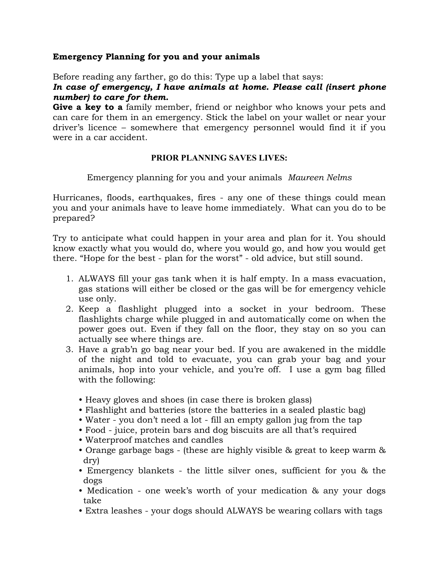### **Emergency Planning for you and your animals**

Before reading any farther, go do this: Type up a label that says:

## *In case of emergency, I have animals at home. Please call (insert phone number) to care for them.*

**Give a key to a** family member, friend or neighbor who knows your pets and can care for them in an emergency. Stick the label on your wallet or near your driver's licence – somewhere that emergency personnel would find it if you were in a car accident.

# **PRIOR PLANNING SAVES LIVES:**

Emergency planning for you and your animals *Maureen Nelms*

Hurricanes, floods, earthquakes, fires - any one of these things could mean you and your animals have to leave home immediately. What can you do to be prepared?

Try to anticipate what could happen in your area and plan for it. You should know exactly what you would do, where you would go, and how you would get there. "Hope for the best - plan for the worst" - old advice, but still sound.

- 1. ALWAYS fill your gas tank when it is half empty. In a mass evacuation, gas stations will either be closed or the gas will be for emergency vehicle use only.
- 2. Keep a flashlight plugged into a socket in your bedroom. These flashlights charge while plugged in and automatically come on when the power goes out. Even if they fall on the floor, they stay on so you can actually see where things are.
- 3. Have a grab'n go bag near your bed. If you are awakened in the middle of the night and told to evacuate, you can grab your bag and your animals, hop into your vehicle, and you're off. I use a gym bag filled with the following:
	- Heavy gloves and shoes (in case there is broken glass)
	- Flashlight and batteries (store the batteries in a sealed plastic bag)
	- Water you don't need a lot fill an empty gallon jug from the tap
	- Food juice, protein bars and dog biscuits are all that's required
	- Waterproof matches and candles
	- Orange garbage bags (these are highly visible & great to keep warm & dry)
	- Emergency blankets the little silver ones, sufficient for you & the dogs
	- Medication one week's worth of your medication & any your dogs take
	- Extra leashes your dogs should ALWAYS be wearing collars with tags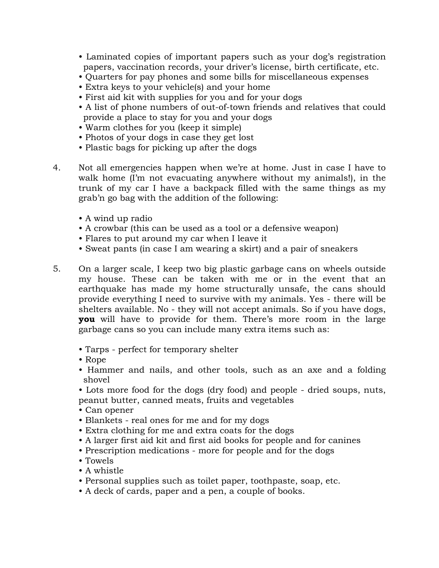- Laminated copies of important papers such as your dog's registration papers, vaccination records, your driver's license, birth certificate, etc.
- Quarters for pay phones and some bills for miscellaneous expenses
- Extra keys to your vehicle(s) and your home
- First aid kit with supplies for you and for your dogs
- A list of phone numbers of out-of-town friends and relatives that could provide a place to stay for you and your dogs
- Warm clothes for you (keep it simple)
- Photos of your dogs in case they get lost
- Plastic bags for picking up after the dogs
- 4. Not all emergencies happen when we're at home. Just in case I have to walk home (I'm not evacuating anywhere without my animals!), in the trunk of my car I have a backpack filled with the same things as my grab'n go bag with the addition of the following:
	- A wind up radio
	- A crowbar (this can be used as a tool or a defensive weapon)
	- Flares to put around my car when I leave it
	- Sweat pants (in case I am wearing a skirt) and a pair of sneakers
- 5. On a larger scale, I keep two big plastic garbage cans on wheels outside my house. These can be taken with me or in the event that an earthquake has made my home structurally unsafe, the cans should provide everything I need to survive with my animals. Yes - there will be shelters available. No - they will not accept animals. So if you have dogs, **you** will have to provide for them. There's more room in the large garbage cans so you can include many extra items such as:
	- Tarps perfect for temporary shelter
	- Rope
	- Hammer and nails, and other tools, such as an axe and a folding shovel
	- Lots more food for the dogs (dry food) and people dried soups, nuts, peanut butter, canned meats, fruits and vegetables
	- Can opener
	- Blankets real ones for me and for my dogs
	- Extra clothing for me and extra coats for the dogs
	- A larger first aid kit and first aid books for people and for canines
	- Prescription medications more for people and for the dogs
	- Towels
	- A whistle
	- Personal supplies such as toilet paper, toothpaste, soap, etc.
	- A deck of cards, paper and a pen, a couple of books.